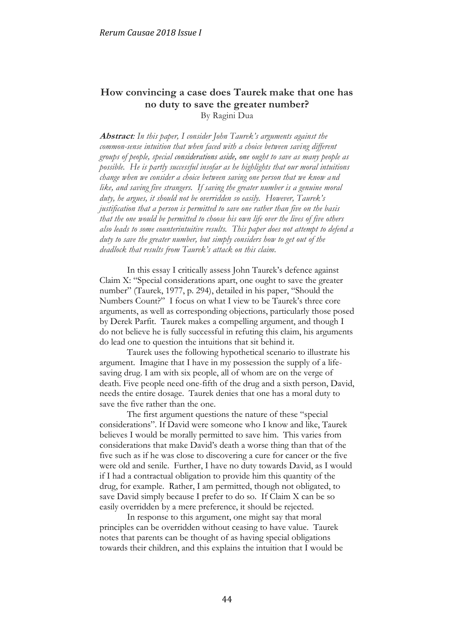## **How convincing a case does Taurek make that one has no duty to save the greater number?** By Ragini Dua

**Abstract***: In this paper, I consider John Taurek's arguments against the common-sense intuition that when faced with a choice between saving different groups of people, special considerations aside, one ought to save as many people as possible. He is partly successful insofar as he highlights that our moral intuitions change when we consider a choice between saving one person that we know and like, and saving five strangers. If saving the greater number is a genuine moral duty, he argues, it should not be overridden so easily. However, Taurek's justification that a person is permitted to save one rather than five on the basis that the one would be permitted to choose his own life over the lives of five others also leads to some counterintuitive results. This paper does not attempt to defend a duty to save the greater number, but simply considers how to get out of the deadlock that results from Taurek's attack on this claim.* 

In this essay I critically assess John Taurek's defence against Claim X: "Special considerations apart, one ought to save the greater number" (Taurek, 1977, p. 294), detailed in his paper, "Should the Numbers Count?" I focus on what I view to be Taurek's three core arguments, as well as corresponding objections, particularly those posed by Derek Parfit. Taurek makes a compelling argument, and though I do not believe he is fully successful in refuting this claim, his arguments do lead one to question the intuitions that sit behind it.

Taurek uses the following hypothetical scenario to illustrate his argument. Imagine that I have in my possession the supply of a lifesaving drug. I am with six people, all of whom are on the verge of death. Five people need one-fifth of the drug and a sixth person, David, needs the entire dosage. Taurek denies that one has a moral duty to save the five rather than the one.

The first argument questions the nature of these "special considerations". If David were someone who I know and like, Taurek believes I would be morally permitted to save him. This varies from considerations that make David's death a worse thing than that of the five such as if he was close to discovering a cure for cancer or the five were old and senile. Further, I have no duty towards David, as I would if I had a contractual obligation to provide him this quantity of the drug, for example. Rather, I am permitted, though not obligated, to save David simply because I prefer to do so. If Claim X can be so easily overridden by a mere preference, it should be rejected.

In response to this argument, one might say that moral principles can be overridden without ceasing to have value. Taurek notes that parents can be thought of as having special obligations towards their children, and this explains the intuition that I would be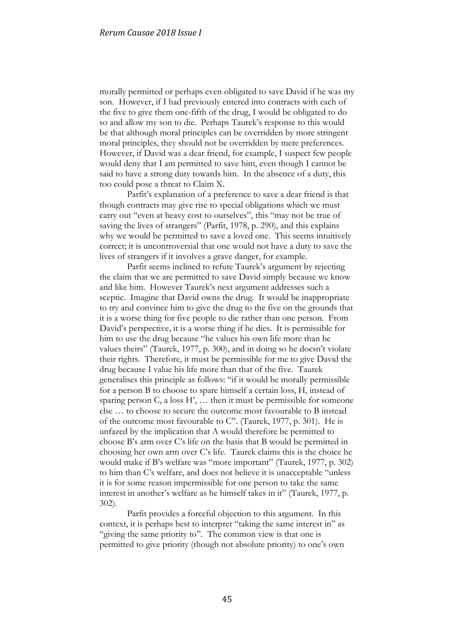morally permitted or perhaps even obligated to save David if he was my son. However, if I had previously entered into contracts with each of the five to give them one-fifth of the drug, I would be obligated to do so and allow my son to die. Perhaps Taurek's response to this would be that although moral principles can be overridden by more stringent moral principles, they should not be overridden by mere preferences. However, if David was a dear friend, for example, I suspect few people would deny that I am permitted to save him, even though I cannot be said to have a strong duty towards him. In the absence of a duty, this too could pose a threat to Claim X.

Parfit's explanation of a preference to save a dear friend is that though contracts may give rise to special obligations which we must carry out "even at heavy cost to ourselves", this "may not be true of saving the lives of strangers" (Parfit, 1978, p. 290), and this explains why we would be permitted to save a loved one. This seems intuitively correct; it is uncontroversial that one would not have a duty to save the lives of strangers if it involves a grave danger, for example.

Parfit seems inclined to refute Taurek's argument by rejecting the claim that we are permitted to save David simply because we know and like him. However Taurek's next argument addresses such a sceptic. Imagine that David owns the drug. It would be inappropriate to try and convince him to give the drug to the five on the grounds that it is a worse thing for five people to die rather than one person. From David's perspective, it is a worse thing if he dies. It is permissible for him to use the drug because "he values his own life more than he values theirs" (Taurek, 1977, p. 300), and in doing so he doesn't violate their rights. Therefore, it must be permissible for me to give David the drug because I value his life more than that of the five. Taurek generalises this principle as follows: "if it would be morally permissible for a person B to choose to spare himself a certain loss, H, instead of sparing person C, a loss H', … then it must be permissible for someone else … to choose to secure the outcome most favourable to B instead of the outcome most favourable to C". (Taurek, 1977, p. 301). He is unfazed by the implication that A would therefore be permitted to choose B's arm over C's life on the basis that B would be permitted in choosing her own arm over C's life. Taurek claims this is the choice he would make if B's welfare was "more important" (Taurek, 1977, p. 302) to him than C's welfare, and does not believe it is unacceptable "unless it is for some reason impermissible for one person to take the same interest in another's welfare as he himself takes in it" (Taurek, 1977, p. 302).

Parfit provides a forceful objection to this argument. In this context, it is perhaps best to interpret "taking the same interest in" as "giving the same priority to". The common view is that one is permitted to give priority (though not absolute priority) to one's own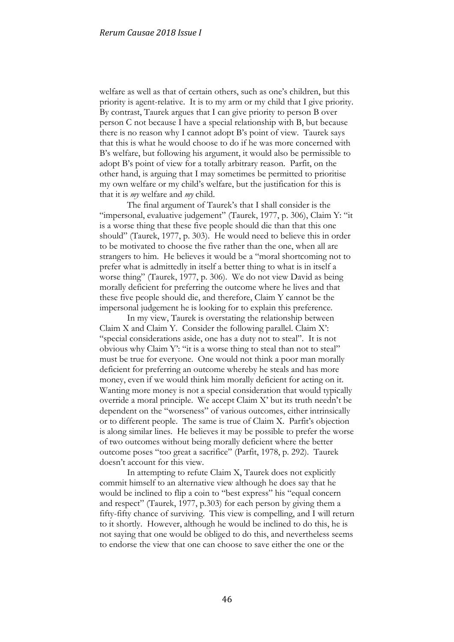welfare as well as that of certain others, such as one's children, but this priority is agent-relative. It is to my arm or my child that I give priority. By contrast, Taurek argues that I can give priority to person B over person C not because I have a special relationship with B, but because there is no reason why I cannot adopt B's point of view. Taurek says that this is what he would choose to do if he was more concerned with B's welfare, but following his argument, it would also be permissible to adopt B's point of view for a totally arbitrary reason. Parfit, on the other hand, is arguing that I may sometimes be permitted to prioritise my own welfare or my child's welfare, but the justification for this is that it is *my* welfare and *my* child.

The final argument of Taurek's that I shall consider is the "impersonal, evaluative judgement" (Taurek, 1977, p. 306), Claim Y: "it is a worse thing that these five people should die than that this one should" (Taurek, 1977, p. 303). He would need to believe this in order to be motivated to choose the five rather than the one, when all are strangers to him. He believes it would be a "moral shortcoming not to prefer what is admittedly in itself a better thing to what is in itself a worse thing" (Taurek, 1977, p. 306). We do not view David as being morally deficient for preferring the outcome where he lives and that these five people should die, and therefore, Claim Y cannot be the impersonal judgement he is looking for to explain this preference.

In my view, Taurek is overstating the relationship between Claim X and Claim Y. Consider the following parallel. Claim X': "special considerations aside, one has a duty not to steal". It is not obvious why Claim Y': "it is a worse thing to steal than not to steal" must be true for everyone. One would not think a poor man morally deficient for preferring an outcome whereby he steals and has more money, even if we would think him morally deficient for acting on it. Wanting more money is not a special consideration that would typically override a moral principle. We accept Claim X' but its truth needn't be dependent on the "worseness" of various outcomes, either intrinsically or to different people. The same is true of Claim X. Parfit's objection is along similar lines. He believes it may be possible to prefer the worse of two outcomes without being morally deficient where the better outcome poses "too great a sacrifice" (Parfit, 1978, p. 292). Taurek doesn't account for this view.

In attempting to refute Claim X, Taurek does not explicitly commit himself to an alternative view although he does say that he would be inclined to flip a coin to "best express" his "equal concern and respect" (Taurek, 1977, p.303) for each person by giving them a fifty-fifty chance of surviving. This view is compelling, and I will return to it shortly. However, although he would be inclined to do this, he is not saying that one would be obliged to do this, and nevertheless seems to endorse the view that one can choose to save either the one or the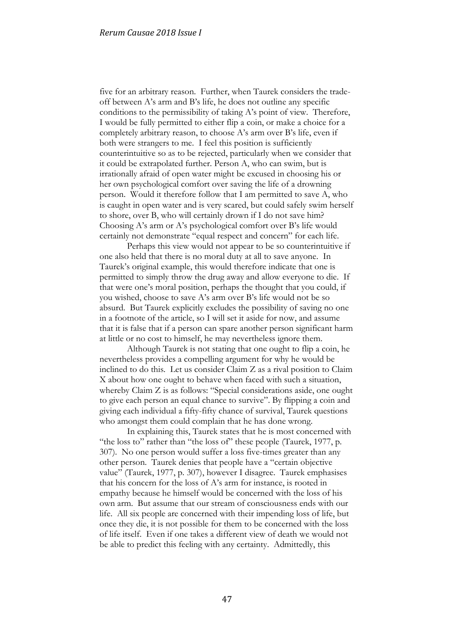five for an arbitrary reason. Further, when Taurek considers the tradeoff between A's arm and B's life, he does not outline any specific conditions to the permissibility of taking A's point of view. Therefore, I would be fully permitted to either flip a coin, or make a choice for a completely arbitrary reason, to choose A's arm over B's life, even if both were strangers to me. I feel this position is sufficiently counterintuitive so as to be rejected, particularly when we consider that it could be extrapolated further. Person A, who can swim, but is irrationally afraid of open water might be excused in choosing his or her own psychological comfort over saving the life of a drowning person. Would it therefore follow that I am permitted to save A, who is caught in open water and is very scared, but could safely swim herself to shore, over B, who will certainly drown if I do not save him? Choosing A's arm or A's psychological comfort over B's life would certainly not demonstrate "equal respect and concern" for each life.

Perhaps this view would not appear to be so counterintuitive if one also held that there is no moral duty at all to save anyone. In Taurek's original example, this would therefore indicate that one is permitted to simply throw the drug away and allow everyone to die. If that were one's moral position, perhaps the thought that you could, if you wished, choose to save A's arm over B's life would not be so absurd. But Taurek explicitly excludes the possibility of saving no one in a footnote of the article, so I will set it aside for now, and assume that it is false that if a person can spare another person significant harm at little or no cost to himself, he may nevertheless ignore them.

Although Taurek is not stating that one ought to flip a coin, he nevertheless provides a compelling argument for why he would be inclined to do this. Let us consider Claim Z as a rival position to Claim X about how one ought to behave when faced with such a situation, whereby Claim Z is as follows: "Special considerations aside, one ought to give each person an equal chance to survive". By flipping a coin and giving each individual a fifty-fifty chance of survival, Taurek questions who amongst them could complain that he has done wrong.

In explaining this, Taurek states that he is most concerned with "the loss to" rather than "the loss of" these people (Taurek, 1977, p. 307). No one person would suffer a loss five-times greater than any other person. Taurek denies that people have a "certain objective value" (Taurek, 1977, p. 307), however I disagree. Taurek emphasises that his concern for the loss of A's arm for instance, is rooted in empathy because he himself would be concerned with the loss of his own arm. But assume that our stream of consciousness ends with our life. All six people are concerned with their impending loss of life, but once they die, it is not possible for them to be concerned with the loss of life itself. Even if one takes a different view of death we would not be able to predict this feeling with any certainty. Admittedly, this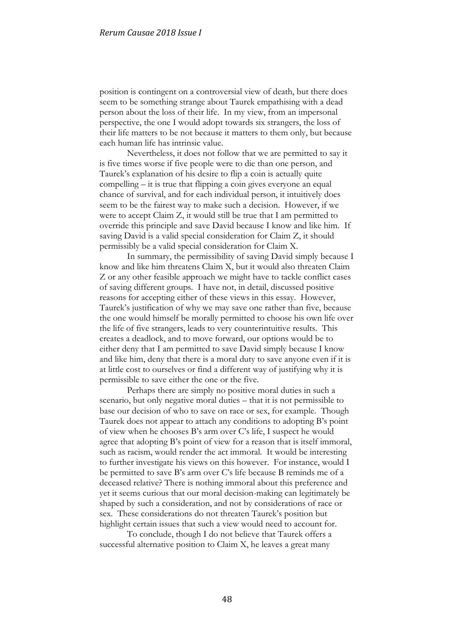position is contingent on a controversial view of death, but there does seem to be something strange about Taurek empathising with a dead person about the loss of their life. In my view, from an impersonal perspective, the one I would adopt towards six strangers, the loss of their life matters to be not because it matters to them only, but because each human life has intrinsic value.

Nevertheless, it does not follow that we are permitted to say it is five times worse if five people were to die than one person, and Taurek's explanation of his desire to flip a coin is actually quite compelling – it is true that flipping a coin gives everyone an equal chance of survival, and for each individual person, it intuitively does seem to be the fairest way to make such a decision. However, if we were to accept Claim Z, it would still be true that I am permitted to override this principle and save David because I know and like him. If saving David is a valid special consideration for Claim Z, it should permissibly be a valid special consideration for Claim X.

In summary, the permissibility of saving David simply because I know and like him threatens Claim X, but it would also threaten Claim Z or any other feasible approach we might have to tackle conflict cases of saving different groups. I have not, in detail, discussed positive reasons for accepting either of these views in this essay. However, Taurek's justification of why we may save one rather than five, because the one would himself be morally permitted to choose his own life over the life of five strangers, leads to very counterintuitive results. This creates a deadlock, and to move forward, our options would be to either deny that I am permitted to save David simply because I know and like him, deny that there is a moral duty to save anyone even if it is at little cost to ourselves or find a different way of justifying why it is permissible to save either the one or the five.

Perhaps there are simply no positive moral duties in such a scenario, but only negative moral duties – that it is not permissible to base our decision of who to save on race or sex, for example. Though Taurek does not appear to attach any conditions to adopting B's point of view when he chooses B's arm over C's life, I suspect he would agree that adopting B's point of view for a reason that is itself immoral, such as racism, would render the act immoral. It would be interesting to further investigate his views on this however. For instance, would I be permitted to save B's arm over C's life because B reminds me of a deceased relative? There is nothing immoral about this preference and yet it seems curious that our moral decision-making can legitimately be shaped by such a consideration, and not by considerations of race or sex. These considerations do not threaten Taurek's position but highlight certain issues that such a view would need to account for.

To conclude, though I do not believe that Taurek offers a successful alternative position to Claim X, he leaves a great many